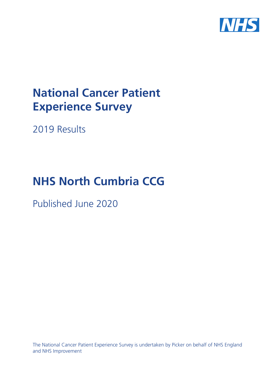

# **National Cancer Patient Experience Survey**

2019 Results

# **NHS North Cumbria CCG**

Published June 2020

The National Cancer Patient Experience Survey is undertaken by Picker on behalf of NHS England and NHS Improvement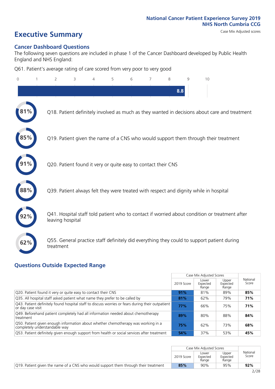# **Executive Summary** Case Mix Adjusted scores

#### **Cancer Dashboard Questions**

The following seven questions are included in phase 1 of the Cancer Dashboard developed by Public Health England and NHS England:

Q61. Patient's average rating of care scored from very poor to very good

| $\Omega$ | $\overline{2}$                                                | 3 | 4 | 5 | 6 | 7 | 8 | 9   | 10                                                                                            |
|----------|---------------------------------------------------------------|---|---|---|---|---|---|-----|-----------------------------------------------------------------------------------------------|
|          |                                                               |   |   |   |   |   |   | 8.8 |                                                                                               |
|          |                                                               |   |   |   |   |   |   |     | Q18. Patient definitely involved as much as they wanted in decisions about care and treatment |
|          |                                                               |   |   |   |   |   |   |     | Q19. Patient given the name of a CNS who would support them through their treatment           |
|          | Q20. Patient found it very or quite easy to contact their CNS |   |   |   |   |   |   |     |                                                                                               |
|          |                                                               |   |   |   |   |   |   |     | Q39. Patient always felt they were treated with respect and dignity while in hospital         |
|          | leaving hospital                                              |   |   |   |   |   |   |     | Q41. Hospital staff told patient who to contact if worried about condition or treatment after |
| 62%      | treatment                                                     |   |   |   |   |   |   |     | Q55. General practice staff definitely did everything they could to support patient during    |

#### **Questions Outside Expected Range**

|                                                                                                                       |            | Case Mix Adjusted Scores   |                            |                   |
|-----------------------------------------------------------------------------------------------------------------------|------------|----------------------------|----------------------------|-------------------|
|                                                                                                                       | 2019 Score | Lower<br>Expected<br>Range | Upper<br>Expected<br>Range | National<br>Score |
| Q20. Patient found it very or quite easy to contact their CNS                                                         | 91%        | 81%                        | 89%                        | 85%               |
| Q35. All hospital staff asked patient what name they prefer to be called by                                           | 81%        | 62%                        | 79%                        | 71%               |
| Q43. Patient definitely found hospital staff to discuss worries or fears during their outpatient<br>or day case visit | 77%        | 66%                        | 75%                        | 71%               |
| Q49. Beforehand patient completely had all information needed about chemotherapy<br>treatment                         | 89%        | 80%                        | 88%                        | 84%               |
| Q50. Patient given enough information about whether chemotherapy was working in a<br>completely understandable way    | 75%        | 62%                        | 73%                        | 68%               |
| Q53. Patient definitely given enough support from health or social services after treatment                           | 54%        | 37%                        | 53%                        | 45%               |

|                                                                                      |            | Case Mix Adiusted Scores   |                            |                   |
|--------------------------------------------------------------------------------------|------------|----------------------------|----------------------------|-------------------|
|                                                                                      | 2019 Score | Lower<br>Expected<br>Range | Upper<br>Expected<br>Range | National<br>Score |
| [O19] Patient given the name of a CNS who would support them through their treatment | 85%        | 90%                        | 95%                        | 92%               |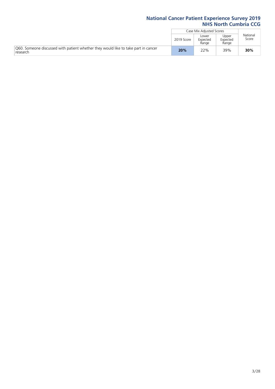|                                                                                                |            | Case Mix Adjusted Scores   |                            |                   |
|------------------------------------------------------------------------------------------------|------------|----------------------------|----------------------------|-------------------|
|                                                                                                | 2019 Score | Lower<br>Expected<br>Range | Upper<br>Expected<br>Range | National<br>Score |
| O60. Someone discussed with patient whether they would like to take part in cancer<br>research | 20%        | 22%                        | 39%                        | 30%               |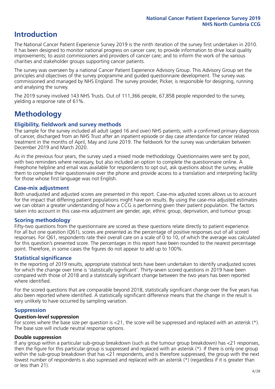### **Introduction**

The National Cancer Patient Experience Survey 2019 is the ninth iteration of the survey first undertaken in 2010. It has been designed to monitor national progress on cancer care; to provide information to drive local quality improvements; to assist commissioners and providers of cancer care; and to inform the work of the various charities and stakeholder groups supporting cancer patients.

The survey was overseen by a national Cancer Patient Experience Advisory Group. This Advisory Group set the principles and objectives of the survey programme and guided questionnaire development. The survey was commissioned and managed by NHS England. The survey provider, Picker, is responsible for designing, running and analysing the survey.

The 2019 survey involved 143 NHS Trusts. Out of 111,366 people, 67,858 people responded to the survey, yielding a response rate of 61%.

## **Methodology**

#### **Eligibility, fieldwork and survey methods**

The sample for the survey included all adult (aged 16 and over) NHS patients, with a confirmed primary diagnosis of cancer, discharged from an NHS Trust after an inpatient episode or day case attendance for cancer related treatment in the months of April, May and June 2019. The fieldwork for the survey was undertaken between December 2019 and March 2020.

As in the previous four years, the survey used a mixed mode methodology. Questionnaires were sent by post, with two reminders where necessary, but also included an option to complete the questionnaire online. A Freephone helpline and email was available for respondents to opt out, ask questions about the survey, enable them to complete their questionnaire over the phone and provide access to a translation and interpreting facility for those whose first language was not English.

#### **Case-mix adjustment**

Both unadjusted and adjusted scores are presented in this report. Case-mix adjusted scores allows us to account for the impact that differing patient populations might have on results. By using the case-mix adjusted estimates we can obtain a greater understanding of how a CCG is performing given their patient population. The factors taken into account in this case-mix adjustment are gender, age, ethnic group, deprivation, and tumour group.

#### **Scoring methodology**

Fifty-two questions from the questionnaire are scored as these questions relate directly to patient experience. For all but one question (Q61), scores are presented as the percentage of positive responses out of all scored responses. For Q61, respondents rate their overall care on a scale of 0 to 10, of which the average was calculated for this question's presented score. The percentages in this report have been rounded to the nearest percentage point. Therefore, in some cases the figures do not appear to add up to 100%.

#### **Statistical significance**

In the reporting of 2019 results, appropriate statistical tests have been undertaken to identify unadjusted scores for which the change over time is 'statistically significant'. Thirty-seven scored questions in 2019 have been compared with those of 2018 and a statistically significant change between the two years has been reported where identified.

For the scored questions that are comparable beyond 2018, statistically significant change over the five years has also been reported where identified. A statistically significant difference means that the change in the result is very unlikely to have occurred by sampling variation.

#### **Suppression**

#### **Question-level suppression**

For scores where the base size per question is  $<$ 21, the score will be suppressed and replaced with an asterisk (\*). The base size will include neutral response options.

#### **Double suppression**

If any group within a particular sub-group breakdown (such as the tumour group breakdown) has <21 responses, then the figure for this particular group is suppressed and replaced with an asterisk (\*). If there is only one group within the sub-group breakdown that has <21 respondents, and is therefore suppressed, the group with the next lowest number of respondents is also supressed and replaced with an asterisk (\*) (regardless if it is greater than or less than 21).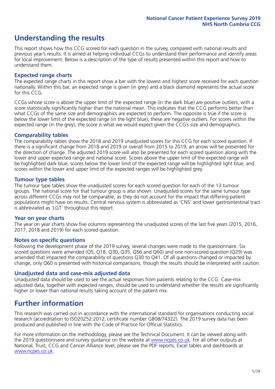## **Understanding the results**

This report shows how this CCG scored for each question in the survey, compared with national results and previous year's results. It is aimed at helping individual CCGs to understand their performance and identify areas for local improvement. Below is a description of the type of results presented within this report and how to understand them.

#### **Expected range charts**

The expected range charts in this report show a bar with the lowest and highest score received for each question nationally. Within this bar, an expected range is given (in grey) and a black diamond represents the actual score for this CCG.

CCGs whose score is above the upper limit of the expected range (in the dark blue) are positive outliers, with a score statistically significantly higher than the national mean. This indicates that the CCG performs better than what CCGs of the same size and demographics are expected to perform. The opposite is true if the score is below the lower limit of the expected range (in the light blue); these are negative outliers. For scores within the expected range (in the grey), the score is what we would expect given the CCG's size and demographics.

#### **Comparability tables**

The comparability tables show the 2018 and 2019 unadjusted scores for this CCG for each scored question. If there is a significant change from 2018 and 2019 or overall from 2015 to 2019, an arrow will be presented for the direction of change. The adjusted 2019 score will also be presented for each scored question along with the lower and upper expected range and national score. Scores above the upper limit of the expected range will be highlighted dark blue, scores below the lower limit of the expected range will be highlighted light blue, and scores within the lower and upper limit of the expected ranges will be highlighted grey.

#### **Tumour type tables**

The tumour type tables show the unadjusted scores for each scored question for each of the 13 tumour groups. The national score for that tumour group is also shown. Unadjusted scores for the same tumour type across different CCGs may not be comparable, as they do not account for the impact that differing patient populations might have on results. Central nervous system is abbreviated as 'CNS' and lower gastrointestinal tract is abbreviated as 'LGT' throughout this report.

#### **Year on year charts**

The year on year charts show five columns representing the unadjusted scores of the last five years (2015, 2016, 2017, 2018 and 2019) for each scored question.

#### **Notes on specific questions**

Following the development phase of the 2019 survey, several changes were made to the questionnaire. Six scored questions were amended (Q5, Q18, Q30, Q35, Q56 and Q60) and one non-scored question (Q29) was amended that impacted the comparability of questions Q30 to Q41. Of all questions changed or impacted by change, only Q60 is presented with historical comparisons; though the results should be interpreted with caution.

#### **Unadjusted data and case-mix adjusted data**

Unadjusted data should be used to see the actual responses from patients relating to the CCG. Case-mix adjusted data, together with expected ranges, should be used to understand whether the results are significantly higher or lower than national results taking account of the patient mix.

### **Further information**

This research was carried out in accordance with the international standard for organisations conducting social research (accreditation to ISO20252:2012; certificate number GB08/74322). The 2019 survey data has been produced and published in line with the Code of Practice for Official Statistics.

For more information on the methodology, please see the Technical Document. It can be viewed along with the 2019 questionnaire and survey quidance on the website at [www.ncpes.co.uk](https://www.ncpes.co.uk/supporting-documents). For all other outputs at National, Trust, CCG and Cancer Alliance level, please see the PDF reports, Excel tables and dashboards at [www.ncpes.co.uk.](https://www.ncpes.co.uk/current-results)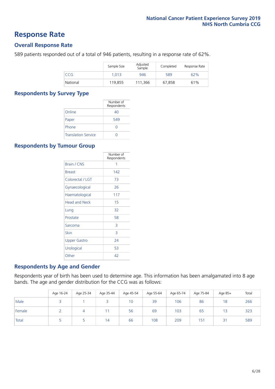### **Response Rate**

#### **Overall Response Rate**

589 patients responded out of a total of 946 patients, resulting in a response rate of 62%.

|          | Sample Size | Adjusted<br>Sample | Completed | Response Rate |
|----------|-------------|--------------------|-----------|---------------|
| CCG      | 1.013       | 946                | 589       | 62%           |
| National | 119,855     | 111.366            | 67,858    | 61%           |

#### **Respondents by Survey Type**

|                            | Number of<br>Respondents |
|----------------------------|--------------------------|
| Online                     | 40                       |
| Paper                      | 549                      |
| Phone                      |                          |
| <b>Translation Service</b> |                          |

#### **Respondents by Tumour Group**

|                      | Number of<br>Respondents |
|----------------------|--------------------------|
| <b>Brain / CNS</b>   | 1                        |
| <b>Breast</b>        | 142                      |
| Colorectal / LGT     | 73                       |
| Gynaecological       | 26                       |
| Haematological       | 117                      |
| <b>Head and Neck</b> | 15                       |
| Lung                 | 32                       |
| Prostate             | 58                       |
| Sarcoma              | 3                        |
| Skin                 | 3                        |
| <b>Upper Gastro</b>  | 24                       |
| Urological           | 53                       |
| Other                | 42                       |

#### **Respondents by Age and Gender**

Respondents year of birth has been used to determine age. This information has been amalgamated into 8 age bands. The age and gender distribution for the CCG was as follows:

|        | Age 16-24 | Age 25-34 | Age 35-44 | Age 45-54 | Age 55-64 | Age 65-74 | Age 75-84 | Age 85+ | Total |
|--------|-----------|-----------|-----------|-----------|-----------|-----------|-----------|---------|-------|
| Male   |           |           |           | 10        | 39        | 106       | 86        | 18      | 266   |
| Female |           |           |           | 56        | 69        | 103       | 65        | 13      | 323   |
| Total  |           |           | 14        | 66        | 108       | 209       | 15'       | 31      | 589   |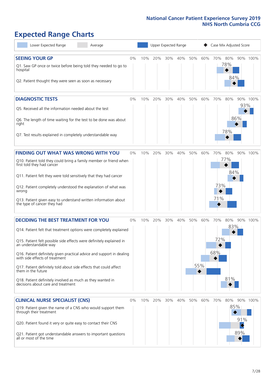# **Expected Range Charts**

| Lower Expected Range<br>Average                                                                         | Upper Expected Range<br>Case Mix Adjusted Score |     |     |     |     |     |     |     |            |     |          |
|---------------------------------------------------------------------------------------------------------|-------------------------------------------------|-----|-----|-----|-----|-----|-----|-----|------------|-----|----------|
| <b>SEEING YOUR GP</b>                                                                                   | 0%                                              | 10% | 20% | 30% | 40% | 50% | 60% | 70% | 80%        |     | 90% 100% |
| Q1. Saw GP once or twice before being told they needed to go to<br>hospital                             |                                                 |     |     |     |     |     |     |     | 78%<br>84% |     |          |
| Q2. Patient thought they were seen as soon as necessary                                                 |                                                 |     |     |     |     |     |     |     |            |     |          |
| <b>DIAGNOSTIC TESTS</b>                                                                                 | 0%                                              | 10% | 20% | 30% | 40% | 50% | 60% | 70% | 80%        | 93% | 90% 100% |
| Q5. Received all the information needed about the test                                                  |                                                 |     |     |     |     |     |     |     |            |     |          |
| Q6. The length of time waiting for the test to be done was about<br>right                               |                                                 |     |     |     |     |     |     |     | 78%        | 86% |          |
| Q7. Test results explained in completely understandable way                                             |                                                 |     |     |     |     |     |     |     |            |     |          |
| <b>FINDING OUT WHAT WAS WRONG WITH YOU</b>                                                              | $0\%$                                           | 10% | 20% | 30% | 40% | 50% | 60% | 70% | 80%        |     | 90% 100% |
| Q10. Patient told they could bring a family member or friend when<br>first told they had cancer         |                                                 |     |     |     |     |     |     |     | 77%        |     |          |
| Q11. Patient felt they were told sensitively that they had cancer                                       |                                                 |     |     |     |     |     |     |     | 84%        |     |          |
| Q12. Patient completely understood the explanation of what was<br>wrong                                 |                                                 |     |     |     |     |     |     | 73% |            |     |          |
| Q13. Patient given easy to understand written information about<br>the type of cancer they had          |                                                 |     |     |     |     |     |     | 71% |            |     |          |
| <b>DECIDING THE BEST TREATMENT FOR YOU</b>                                                              | 0%                                              | 10% | 20% | 30% | 40% | 50% | 60% | 70% | 80%        |     | 90% 100% |
| Q14. Patient felt that treatment options were completely explained                                      |                                                 |     |     |     |     |     |     |     | 83%        |     |          |
| Q15. Patient felt possible side effects were definitely explained in<br>an understandable way           |                                                 |     |     |     |     |     |     | 72% |            |     |          |
| Q16. Patient definitely given practical advice and support in dealing<br>with side effects of treatment |                                                 |     |     |     |     |     |     | 68% |            |     |          |
| Q17. Patient definitely told about side effects that could affect<br>them in the future                 |                                                 |     |     |     |     |     | 55% |     |            |     |          |
| Q18. Patient definitely involved as much as they wanted in<br>decisions about care and treatment        |                                                 |     |     |     |     |     |     |     | 81%        |     |          |
| <b>CLINICAL NURSE SPECIALIST (CNS)</b>                                                                  | 0%                                              | 10% | 20% | 30% | 40% | 50% | 60% | 70% | 80%        |     | 90% 100% |
| Q19. Patient given the name of a CNS who would support them<br>through their treatment                  |                                                 |     |     |     |     |     |     |     | 85%        | 91% |          |
| Q20. Patient found it very or quite easy to contact their CNS                                           |                                                 |     |     |     |     |     |     |     |            |     |          |
| Q21. Patient got understandable answers to important questions<br>all or most of the time               |                                                 |     |     |     |     |     |     |     |            | 89% |          |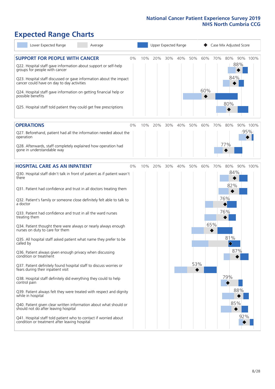# **Expected Range Charts**

| Lower Expected Range<br>Average                                                                                                                                                                                 |    |     | Upper Expected Range |     |     |          |     |     | Case Mix Adjusted Score |     |          |
|-----------------------------------------------------------------------------------------------------------------------------------------------------------------------------------------------------------------|----|-----|----------------------|-----|-----|----------|-----|-----|-------------------------|-----|----------|
| <b>SUPPORT FOR PEOPLE WITH CANCER</b><br>Q22. Hospital staff gave information about support or self-help<br>groups for people with cancer<br>Q23. Hospital staff discussed or gave information about the impact | 0% | 10% | 20%                  | 30% | 40% | 50%      | 60% | 70% | 80%<br>88%<br>84%       |     | 90% 100% |
| cancer could have on day to day activities<br>Q24. Hospital staff gave information on getting financial help or<br>possible benefits                                                                            |    |     |                      |     |     |          | 60% |     | 80%                     |     |          |
| Q25. Hospital staff told patient they could get free prescriptions                                                                                                                                              |    |     |                      |     |     |          |     |     |                         |     |          |
| <b>OPERATIONS</b>                                                                                                                                                                                               | 0% | 10% | 20%                  | 30% | 40% | 50%      | 60% | 70% | 80%                     |     | 90% 100% |
| Q27. Beforehand, patient had all the information needed about the<br>operation                                                                                                                                  |    |     |                      |     |     |          |     |     |                         | 95% |          |
| Q28. Afterwards, staff completely explained how operation had<br>gone in understandable way                                                                                                                     |    |     |                      |     |     |          |     |     | 77%                     |     |          |
| <b>HOSPITAL CARE AS AN INPATIENT</b>                                                                                                                                                                            | 0% | 10% | 20%                  | 30% | 40% | 50%      | 60% | 70% | 80%                     |     | 90% 100% |
| Q30. Hospital staff didn't talk in front of patient as if patient wasn't<br>there                                                                                                                               |    |     |                      |     |     |          |     |     | 84%<br>82%              |     |          |
| Q31. Patient had confidence and trust in all doctors treating them                                                                                                                                              |    |     |                      |     |     |          |     |     |                         |     |          |
| Q32. Patient's family or someone close definitely felt able to talk to<br>a doctor                                                                                                                              |    |     |                      |     |     |          |     |     | 76%                     |     |          |
| Q33. Patient had confidence and trust in all the ward nurses<br>treating them                                                                                                                                   |    |     |                      |     |     |          |     |     | 76%                     |     |          |
| Q34. Patient thought there were always or nearly always enough<br>nurses on duty to care for them                                                                                                               |    |     |                      |     |     |          |     | 65% |                         |     |          |
| Q35. All hospital staff asked patient what name they prefer to be<br>called by                                                                                                                                  |    |     |                      |     |     |          |     |     | 81%<br>♦                |     |          |
| Q36. Patient always given enough privacy when discussing<br>condition or treatment                                                                                                                              |    |     |                      |     |     |          |     |     | 87%                     |     |          |
| Q37. Patient definitely found hospital staff to discuss worries or<br>fears during their inpatient visit                                                                                                        |    |     |                      |     |     | 53%<br>◆ |     |     |                         |     |          |
| Q38. Hospital staff definitely did everything they could to help<br>control pain                                                                                                                                |    |     |                      |     |     |          |     |     | 79%                     |     |          |
| Q39. Patient always felt they were treated with respect and dignity<br>while in hospital                                                                                                                        |    |     |                      |     |     |          |     |     |                         | 88% |          |
| Q40. Patient given clear written information about what should or<br>should not do after leaving hospital                                                                                                       |    |     |                      |     |     |          |     |     | 85%                     |     |          |
| Q41. Hospital staff told patient who to contact if worried about<br>condition or treatment after leaving hospital                                                                                               |    |     |                      |     |     |          |     |     |                         | 92% |          |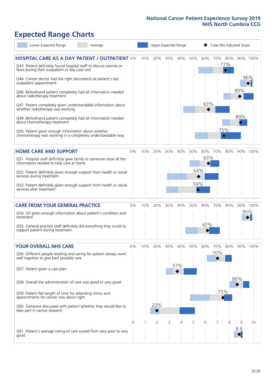# **Expected Range Charts**

| Lower Expected Range                                                                                                  | Average |          |     | Upper Expected Range |     |     | Case Mix Adjusted Score |     |     |                        |          |          |
|-----------------------------------------------------------------------------------------------------------------------|---------|----------|-----|----------------------|-----|-----|-------------------------|-----|-----|------------------------|----------|----------|
| <b>HOSPITAL CARE AS A DAY PATIENT / OUTPATIENT 0%</b>                                                                 |         |          | 10% | 20%                  | 30% | 40% | 50%                     | 60% |     | 70% 80%                |          | 90% 100% |
| Q43. Patient definitely found hospital staff to discuss worries or<br>fears during their outpatient or day case visit |         |          |     |                      |     |     |                         |     |     | 77%<br>$\blacklozenge$ |          |          |
| Q44. Cancer doctor had the right documents at patient's last<br>outpatient appointment                                |         |          |     |                      |     |     |                         |     |     |                        |          | 96%      |
| Q46. Beforehand patient completely had all information needed<br>about radiotherapy treatment                         |         |          |     |                      |     |     |                         |     |     |                        | 89%      |          |
| Q47. Patient completely given understandable information about<br>whether radiotherapy was working                    |         |          |     |                      |     |     |                         | 63% |     |                        |          |          |
| Q49. Beforehand patient completely had all information needed<br>about chemotherapy treatment                         |         |          |     |                      |     |     |                         |     |     |                        | 89%      |          |
| Q50. Patient given enough information about whether<br>chemotherapy was working in a completely understandable way    |         |          |     |                      |     |     |                         |     |     | 75%<br>$\Diamond$      |          |          |
| <b>HOME CARE AND SUPPORT</b>                                                                                          |         | 0%       | 10% | 20%                  | 30% | 40% | 50%                     | 60% | 70% | 80%                    |          | 90% 100% |
| Q51. Hospital staff definitely gave family or someone close all the<br>information needed to help care at home        |         |          |     |                      |     |     |                         | 63% |     |                        |          |          |
| Q52. Patient definitely given enough support from health or social<br>services during treatment                       |         |          |     |                      |     |     | 54%                     |     |     |                        |          |          |
| Q53. Patient definitely given enough support from health or social<br>services after treatment                        |         |          |     |                      |     |     | 54%<br>◈                |     |     |                        |          |          |
| <b>CARE FROM YOUR GENERAL PRACTICE</b>                                                                                |         | $0\%$    | 10% | 20%                  | 30% | 40% | 50%                     | 60% | 70% | 80%                    |          | 90% 100% |
| Q54. GP given enough information about patient's condition and<br>treatment                                           |         |          |     |                      |     |     |                         |     |     |                        | 95%      |          |
| Q55. General practice staff definitely did everything they could to<br>support patient during treatment               |         |          |     |                      |     |     |                         | 62% |     |                        |          |          |
| <b>YOUR OVERALL NHS CARE</b>                                                                                          |         | 0%       | 10% | 20%                  | 30% | 40% | 50%                     | 60% | 70% | 80%                    |          | 90% 100% |
| Q56. Different people treating and caring for patient always work<br>well together to give best possible care         |         |          |     |                      |     |     |                         |     | 70% |                        |          |          |
| Q57. Patient given a care plan                                                                                        |         |          |     |                      |     | 37% |                         |     |     |                        |          |          |
| Q58. Overall the administration of care was good or very good                                                         |         |          |     |                      |     |     |                         |     |     |                        | 86%      |          |
| Q59. Patient felt length of time for attending clinics and<br>appointments for cancer was about right                 |         |          |     |                      |     |     |                         |     | 75% |                        |          |          |
| Q60. Someone discussed with patient whether they would like to<br>take part in cancer research                        |         |          |     | 20%                  |     |     |                         |     |     |                        |          |          |
|                                                                                                                       |         | $\Omega$ |     | $\overline{2}$       | 3   | 4   | 5                       | 6   |     | 8                      | 9<br>8.8 | 10       |
| Q61. Patient's average rating of care scored from very poor to very<br>good                                           |         |          |     |                      |     |     |                         |     |     |                        |          |          |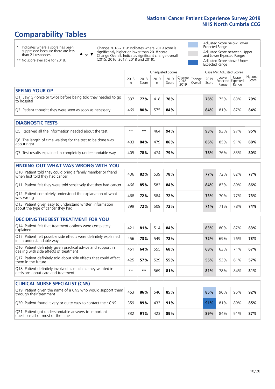# **Comparability Tables**

\* Indicates where a score has been suppressed because there are less than 21 responses.

\*\* No score available for 2018.

 $\triangle$  or  $\nabla$ 

Change 2018-2019: Indicates where 2019 score is significantly higher or lower than 2018 score Change Overall: Indicates significant change overall (2015, 2016, 2017, 2018 and 2019).

Adjusted Score below Lower Expected Range Adjusted Score between Upper and Lower Expected Ranges Adjusted Score above Upper Expected Range

|                                                                             | Case Mix Adjusted Scores<br>Unadjusted Scores |               |           |               |                                         |  |               |                |                                            |                   |
|-----------------------------------------------------------------------------|-----------------------------------------------|---------------|-----------|---------------|-----------------------------------------|--|---------------|----------------|--------------------------------------------|-------------------|
|                                                                             | 2018<br>n                                     | 2018<br>Score | 2019<br>n | 2019<br>Score | Change<br>2018-<br>2010 Overall<br>2019 |  | 2019<br>Score | Lower<br>Range | Upper<br><b>Expected Expected</b><br>Range | National<br>Score |
| <b>SEEING YOUR GP</b>                                                       |                                               |               |           |               |                                         |  |               |                |                                            |                   |
| Q1. Saw GP once or twice before being told they needed to go<br>to hospital | 337                                           | 77%           | 418       | 78%           |                                         |  | 78%           | 75%            | 83%                                        | 79%               |
| Q2. Patient thought they were seen as soon as necessary                     | 469                                           | 80%           | 575       | 84%           |                                         |  | 84%           | 81%            | 87%                                        | 84%               |
| <b>DIAGNOSTIC TESTS</b>                                                     |                                               |               |           |               |                                         |  |               |                |                                            |                   |

| -----------------                                                         |      |     |     |     |  |     |     |     |     |
|---------------------------------------------------------------------------|------|-----|-----|-----|--|-----|-----|-----|-----|
| Q5. Received all the information needed about the test                    | $**$ | **  | 464 | 94% |  | 93% | 93% | 97% | 95% |
| Q6. The length of time waiting for the test to be done was<br>about right | 403  | 84% | 479 | 86% |  | 86% | 85% | 91% | 88% |
| Q7. Test results explained in completely understandable way               | 405  | 78% | 474 | 79% |  | 78% | 76% | 83% | 80% |

| <b>FINDING OUT WHAT WAS WRONG WITH YOU</b>                                                      |     |     |     |     |     |     |     |     |
|-------------------------------------------------------------------------------------------------|-----|-----|-----|-----|-----|-----|-----|-----|
| Q10. Patient told they could bring a family member or friend<br>when first told they had cancer | 436 | 82% | 539 | 78% | 77% | 72% | 82% | 77% |
| Q11. Patient felt they were told sensitively that they had cancer                               | 466 | 85% | 582 | 84% | 84% | 83% | 89% | 86% |
| Q12. Patient completely understood the explanation of what<br>was wrong                         | 468 | 72% | 584 | 72% | 73% | 70% | 77% | 73% |
| Q13. Patient given easy to understand written information<br>about the type of cancer they had  | 399 | 72% | 509 | 72% | 71% | 71% | 78% | 74% |

| <b>DECIDING THE BEST TREATMENT FOR YOU</b>                                                              |      |     |     |     |  |     |     |     |     |
|---------------------------------------------------------------------------------------------------------|------|-----|-----|-----|--|-----|-----|-----|-----|
| Q14. Patient felt that treatment options were completely<br>explained                                   | 421  | 81% | 514 | 84% |  | 83% | 80% | 87% | 83% |
| Q15. Patient felt possible side effects were definitely explained<br>in an understandable way           | 456  | 73% | 549 | 72% |  | 72% | 69% | 76% | 73% |
| Q16. Patient definitely given practical advice and support in<br>dealing with side effects of treatment | 451  | 64% | 555 | 68% |  | 68% | 63% | 71% | 67% |
| Q17. Patient definitely told about side effects that could affect<br>them in the future                 | 425  | 57% | 529 | 55% |  | 55% | 53% | 61% | 57% |
| Q18. Patient definitely involved as much as they wanted in<br>decisions about care and treatment        | $**$ | **  | 569 | 81% |  | 81% | 78% | 84% | 81% |

| <b>CLINICAL NURSE SPECIALIST (CNS)</b>                                                    |     |     |     |     |     |     |     |     |
|-------------------------------------------------------------------------------------------|-----|-----|-----|-----|-----|-----|-----|-----|
| Q19. Patient given the name of a CNS who would support them<br>through their treatment    | 453 | 86% | 540 | 85% | 85% | 90% | 95% | 92% |
| Q20. Patient found it very or quite easy to contact their CNS                             | 359 | 89% | 433 | 91% | 91% | 81% | 89% | 85% |
| Q21. Patient got understandable answers to important<br>questions all or most of the time | 332 | 91% | 423 | 89% | 89% | 84% | 91% | 87% |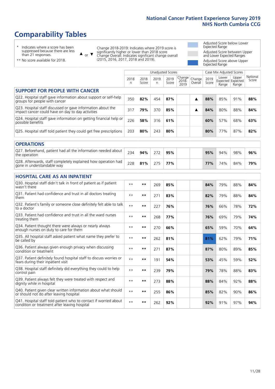# **Comparability Tables**

\* Indicates where a score has been suppressed because there are less than 21 responses.

\*\* No score available for 2018.

 $\triangle$  or  $\nabla$ 

Change 2018-2019: Indicates where 2019 score is significantly higher or lower than 2018 score Change Overall: Indicates significant change overall (2015, 2016, 2017, 2018 and 2019).

Adjusted Score below Lower Expected Range Adjusted Score between Upper and Lower Expected Ranges Adjusted Score above Upper Expected Range

|                                                                                                                   |              |               | <b>Unadjusted Scores</b> |               |                            |                   |               | Case Mix Adjusted Scores            |                |                   |
|-------------------------------------------------------------------------------------------------------------------|--------------|---------------|--------------------------|---------------|----------------------------|-------------------|---------------|-------------------------------------|----------------|-------------------|
|                                                                                                                   | 2018<br>n    | 2018<br>Score | 2019<br>n                | 2019<br>Score | Change<br>$2018 -$<br>2019 | Change<br>Overall | 2019<br>Score | Lower<br>Expected Expected<br>Range | Upper<br>Range | National<br>Score |
| <b>SUPPORT FOR PEOPLE WITH CANCER</b>                                                                             |              |               |                          |               |                            |                   |               |                                     |                |                   |
| Q22. Hospital staff gave information about support or self-help<br>groups for people with cancer                  | 350          | 82%           | 454                      | 87%           |                            | ▲                 | 88%           | 85%                                 | 91%            | 88%               |
| Q23. Hospital staff discussed or gave information about the<br>impact cancer could have on day to day activities  | 317          | 79%           | 370                      | 85%           |                            | ▲                 | 84%           | 80%                                 | 88%            | 84%               |
| Q24. Hospital staff gave information on getting financial help or<br>possible benefits                            | 226          | 58%           | 316                      | 61%           |                            |                   | 60%           | 57%                                 | 68%            | 63%               |
| Q25. Hospital staff told patient they could get free prescriptions                                                | 203          | 80%           | 243                      | 80%           |                            |                   | 80%           | 77%                                 | 87%            | 82%               |
| <b>OPERATIONS</b>                                                                                                 |              |               |                          |               |                            |                   |               |                                     |                |                   |
| Q27. Beforehand, patient had all the information needed about<br>the operation                                    | 234          | 94%           | 272                      | 95%           |                            |                   | 95%           | 94%                                 | 98%            | 96%               |
| Q28. Afterwards, staff completely explained how operation had<br>gone in understandable way                       | 228          | 81%           | 275                      | 77%           |                            |                   | 77%           | 74%                                 | 84%            | 79%               |
| <b>HOSPITAL CARE AS AN INPATIENT</b>                                                                              |              |               |                          |               |                            |                   |               |                                     |                |                   |
| Q30. Hospital staff didn't talk in front of patient as if patient<br>wasn't there                                 | $**$         | $***$         | 269                      | 85%           |                            |                   | 84%           | 79%                                 | 88%            | 84%               |
| Q31. Patient had confidence and trust in all doctors treating<br>them                                             | $* *$        | $**$          | 271                      | 83%           |                            |                   | 82%           | 79%                                 | 88%            | 84%               |
| Q32. Patient's family or someone close definitely felt able to talk<br>to a doctor                                | $* *$        | **            | 227                      | 76%           |                            |                   | 76%           | 66%                                 | 78%            | 72%               |
| O33. Patient had confidence and trust in all the ward nurses<br>treating them                                     | $**$         | $***$         | 268                      | 77%           |                            |                   | 76%           | 69%                                 | 79%            | 74%               |
| Q34. Patient thought there were always or nearly always<br>enough nurses on duty to care for them                 | $\star\star$ | $***$         | 270                      | 66%           |                            |                   | 65%           | 59%                                 | 70%            | 64%               |
| Q35. All hospital staff asked patient what name they prefer to<br>be called by                                    | $**$         | $***$         | 262                      | 81%           |                            |                   | 81%           | 62%                                 | 79%            | 71%               |
| Q36. Patient always given enough privacy when discussing<br>condition or treatment                                | $\star\star$ | $***$         | 271                      | 87%           |                            |                   | 87%           | 80%                                 | 89%            | 85%               |
| Q37. Patient definitely found hospital staff to discuss worries or<br>fears during their inpatient visit          | $* *$        | $***$         | 191                      | 54%           |                            |                   | 53%           | 45%                                 | 59%            | 52%               |
| Q38. Hospital staff definitely did everything they could to help<br>control pain                                  | $\star\star$ | $***$         | 239                      | 79%           |                            |                   | 79%           | 78%                                 | 88%            | 83%               |
| Q39. Patient always felt they were treated with respect and<br>dignity while in hospital                          | $**$         | $***$         | 273                      | 88%           |                            |                   | 88%           | 84%                                 | 92%            | 88%               |
| Q40. Patient given clear written information about what should<br>or should not do after leaving hospital         | $\star\star$ | $***$         | 255                      | 86%           |                            |                   | 85%           | 82%                                 | 90%            | 86%               |
| Q41. Hospital staff told patient who to contact if worried about<br>condition or treatment after leaving hospital | $**$         | $***$         | 262                      | 92%           |                            |                   | 92%           | 91%                                 | 97%            | 94%               |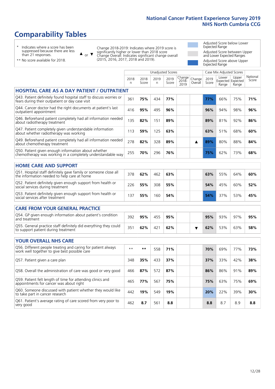# **Comparability Tables**

\* Indicates where a score has been suppressed because there are less than 21 responses.

\*\* No score available for 2018.

 $\triangle$  or  $\nabla$ 

Change 2018-2019: Indicates where 2019 score is significantly higher or lower than 2018 score Change Overall: Indicates significant change overall (2015, 2016, 2017, 2018 and 2019).

Adjusted Score below Lower Expected Range Adjusted Score between Upper and Lower Expected Ranges Adjusted Score above Upper Expected Range

|                                                                                                                       |           |               |            | <b>Unadjusted Scores</b> |                         |                   |               | Case Mix Adjusted Scores            |                |                   |
|-----------------------------------------------------------------------------------------------------------------------|-----------|---------------|------------|--------------------------|-------------------------|-------------------|---------------|-------------------------------------|----------------|-------------------|
|                                                                                                                       | 2018<br>n | 2018<br>Score | 2019<br>n. | 2019<br>Score            | Change<br>2018-<br>2019 | Change<br>Overall | 2019<br>Score | Lower<br>Expected Expected<br>Range | Upper<br>Range | National<br>Score |
| <b>HOSPITAL CARE AS A DAY PATIENT / OUTPATIENT</b>                                                                    |           |               |            |                          |                         |                   |               |                                     |                |                   |
| Q43. Patient definitely found hospital staff to discuss worries or<br>fears during their outpatient or day case visit | 361       | 75%           | 434        | 77%                      |                         |                   | 77%           | 66%                                 | 75%            | 71%               |
| Q44. Cancer doctor had the right documents at patient's last<br>outpatient appointment                                | 416       | 95%           | 495        | 96%                      |                         |                   | 96%           | 94%                                 | 98%            | 96%               |
| Q46. Beforehand patient completely had all information needed<br>about radiotherapy treatment                         | 135       | 82%           | 151        | 89%                      |                         |                   | 89%           | 81%                                 | 92%            | 86%               |
| Q47. Patient completely given understandable information<br>about whether radiotherapy was working                    | 113       | 59%           | 125        | 63%                      |                         |                   | 63%           | 51%                                 | 68%            | 60%               |
| Q49. Beforehand patient completely had all information needed<br>about chemotherapy treatment                         | 278       | 82%           | 328        | 89%                      |                         | ▲                 | 89%           | 80%                                 | 88%            | 84%               |
| Q50. Patient given enough information about whether<br>chemotherapy was working in a completely understandable way    | 255       | 70%           | 296        | 76%                      |                         |                   | 75%           | 62%                                 | 73%            | 68%               |
| <b>HOME CARE AND SUPPORT</b>                                                                                          |           |               |            |                          |                         |                   |               |                                     |                |                   |
| Q51. Hospital staff definitely gave family or someone close all<br>the information needed to help care at home        | 378       | 62%           | 462        | 63%                      |                         |                   | 63%           | 55%                                 | 64%            | 60%               |
| Q52. Patient definitely given enough support from health or<br>social services during treatment                       | 226       | 55%           | 308        | 55%                      |                         |                   | 54%           | 45%                                 | 60%            | 52%               |
| Q53. Patient definitely given enough support from health or<br>social services after treatment                        | 137       | 55%           | 160        | 54%                      |                         |                   | 54%           | 37%                                 | 53%            | 45%               |
| <b>CARE FROM YOUR GENERAL PRACTICE</b>                                                                                |           |               |            |                          |                         |                   |               |                                     |                |                   |
| Q54. GP given enough information about patient's condition<br>and treatment                                           | 392       | 95%           | 455        | 95%                      |                         |                   | 95%           | 93%                                 | 97%            | 95%               |
| Q55. General practice staff definitely did everything they could<br>to support patient during treatment               | 351       | 62%           | 421        | 62%                      |                         | ▼                 | 62%           | 53%                                 | 63%            | 58%               |
| <b>YOUR OVERALL NHS CARE</b>                                                                                          |           |               |            |                          |                         |                   |               |                                     |                |                   |
| Q56. Different people treating and caring for patient always<br>work well together to give best possible care         | $* *$     | $***$         | 558        | 71%                      |                         |                   | 70%           | 69%                                 | 77%            | 73%               |
| Q57. Patient given a care plan                                                                                        | 348       | 35%           | 433        | 37%                      |                         |                   | 37%           | 33%                                 | 42%            | 38%               |
| Q58. Overall the administration of care was good or very good                                                         | 466       | 87%           | 572        | 87%                      |                         |                   | 86%           | 86%                                 | 91%            | 89%               |
| Q59. Patient felt length of time for attending clinics and<br>appointments for cancer was about right                 | 465       | 77%           | 567        | 75%                      |                         |                   | 75%           | 63%                                 | 75%            | 69%               |
| Q60. Someone discussed with patient whether they would like<br>to take part in cancer research                        | 442       | 19%           | 549        | 19%                      |                         |                   | 20%           | 22%                                 | 39%            | 30%               |
| Q61. Patient's average rating of care scored from very poor to<br>very good                                           | 462       | 8.7           | 561        | 8.8                      |                         |                   | 8.8           | 8.7                                 | 8.9            | 8.8               |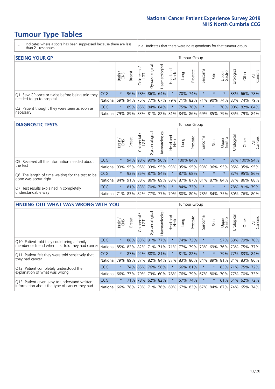# **Tumour Type Tables**

- \* Indicates where a score has been suppressed because there are less than 21 responses.
- n.a. Indicates that there were no respondents for that tumour group.

| <b>SEEING YOUR GP</b>                           |            |         |               |            |                   |                |                                                     |      | Tumour Group |         |         |                 |                       |                 |                |
|-------------------------------------------------|------------|---------|---------------|------------|-------------------|----------------|-----------------------------------------------------|------|--------------|---------|---------|-----------------|-----------------------|-----------------|----------------|
|                                                 |            | Brain   | <b>Breast</b> | Colorectal | ত<br>Gynaecologic | Haematological | Head and<br>Neck                                    | Lung | Prostate     | Sarcoma | Skin    | Upper<br>Gastro | $\sigma$<br>Jrologica | Other           | All<br>Cancers |
| Q1. Saw GP once or twice before being told they | CCG        | $\star$ |               |            | 96% 78% 86% 64%   |                | $\star$                                             |      | 70% 74%      |         | $\star$ |                 |                       | 83% 66% 78%     |                |
| needed to go to hospital                        | National   | 59%     |               |            |                   |                | 94% 75% 77% 67% 79% 71% 82% 71% 90% 74% 83% 74% 79% |      |              |         |         |                 |                       |                 |                |
| Q2. Patient thought they were seen as soon as   | <b>CCG</b> | $\star$ |               |            | 89% 85% 84% 84%   |                | $\star$                                             |      | 75% 76%      | $\star$ |         |                 |                       | 70% 90% 82% 84% |                |
| necessary                                       | National   | 79%     |               |            |                   |                | 89% 83% 81% 82% 81% 84% 86% 69% 85% 79% 85% 79%     |      |              |         |         |                 |                       |                 | 84%            |

#### **DIAGNOSTIC TESTS** Tumour Group

|                                                   |                                                                  | Brain   | <b>Breast</b> | Colorectal<br>LGT | त्त<br>Gynaecologic | Haematological | Head and<br>Neck | Lung                | Prostate | Sarcoma | Skin     | Upper<br>Gastro | rological                                               | Other        | All<br>Cancers |
|---------------------------------------------------|------------------------------------------------------------------|---------|---------------|-------------------|---------------------|----------------|------------------|---------------------|----------|---------|----------|-----------------|---------------------------------------------------------|--------------|----------------|
| O5. Received all the information needed about     | <b>CCG</b>                                                       | $\star$ |               | 94% 98%           | 90%                 | 90%            | $\star$          | 100% 84%            |          |         | $\star$  | $\star$         |                                                         | 87% 100% 94% |                |
| the test                                          | National                                                         | 93%     |               | 95% 95%           |                     |                |                  | 93% 95% 93% 95% 95% |          | 93%     | $ 96\% $ |                 | 95%   95%   95%   95%                                   |              |                |
| Q6. The length of time waiting for the test to be | <b>CCG</b>                                                       | $\star$ |               | 93% 85% 87% 84%   |                     |                | $\star$          |                     | 87% 68%  |         | $\star$  | $\star$         |                                                         | 87% 95% 86%  |                |
| done was about right                              | <b>National</b>                                                  |         |               |                   |                     |                |                  |                     |          |         |          |                 | 84% 91% 88% 86% 89% 88% 87% 87% 81% 87% 84% 87% 86% 88% |              |                |
| Q7. Test results explained in completely          | <b>CCG</b>                                                       | $\star$ |               | 81% 83%           | 70% 75%             |                | $\star$          |                     | 84% 73%  |         | $\star$  | $\star$         |                                                         | 78% 81% 79%  |                |
| understandable way                                | National 71% 83% 82% 77% 77% 79% 80% 80% 78% 84% 75% 80% 76% 80% |         |               |                   |                     |                |                  |                     |          |         |          |                 |                                                         |              |                |

| <b>FINDING OUT WHAT WAS WRONG WITH YOU</b>        |          |         |               |                       |                     |                   |                  |             | <b>Tumour Group</b> |             |                 |                 |            |             |                |
|---------------------------------------------------|----------|---------|---------------|-----------------------|---------------------|-------------------|------------------|-------------|---------------------|-------------|-----------------|-----------------|------------|-------------|----------------|
|                                                   |          | Brain   | <b>Breast</b> | olorectal<br>LGT<br>Ō | Gynaecological      | aematologica<br>エ | Head and<br>Neck | Lung        | Prostate            | Sarcoma     | Skin            | Upper<br>Gastro | Urological | Other       | All<br>Cancers |
| Q10. Patient told they could bring a family       | CCG      | $\star$ | 88%           | 83%                   | 91%                 | 77%               | $\star$          |             | 74% 73%             | $\ast$      | 大               | 57%             | 58%        | 79%         | 78%            |
| member or friend when first told they had cancer  | National | 85%     | 82%           | 82%                   | 71%                 | 71%               | 71%              | 77%         | 79%                 | 73%         | 69%             | 76%             | 73%        | 75%         | 77%            |
| Q11. Patient felt they were told sensitively that | CCG      | $\star$ |               | 87% 92%               | 88%                 | 81%               | $\star$          | 81% 82%     |                     | $\ast$      | $\star$         | 79%             | 77%        | 83%         | 84%            |
| they had cancer                                   | National | 79%     |               |                       | 89% 87% 82% 84% 87% |                   |                  |             |                     | 83% 86% 84% | 89%             |                 |            | 81% 84% 83% | 86%            |
| Q12. Patient completely understood the            | CCG      | $\star$ |               | 74% 85%               | 76%                 | 56%               | $\star$          | 66% 81%     |                     | $\ast$      |                 | 83%             |            | 71% 75% 72% |                |
| explanation of what was wrong                     | National |         | 66% 77%       | 79%                   | 73%                 | 60%               |                  | 78% 76%     | 79%                 | 67%         | 80%             | 70%             | 77%        |             | 70% 73%        |
| Q13. Patient given easy to understand written     | CCG      | $\star$ | 71%           | 78%                   | 62%                 | 82%               | $\star$          | 57% 74%     |                     | $\ast$      | $\star$         |                 | 61% 64%    | 62%         | 72%            |
| information about the type of cancer they had     | National | 66%     | 78%           | 73%                   | 71%                 | 76%               |                  | 69% 67% 83% |                     |             | 67%   84%   67% |                 | 74%        | 65%         | 74%            |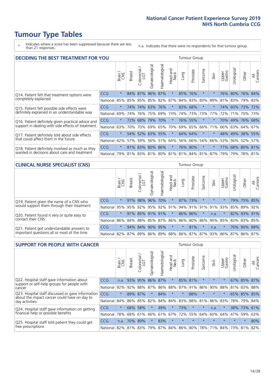# **Tumour Type Tables**

- \* Indicates where a score has been suppressed because there are less than 21 responses.
- n.a. Indicates that there were no respondents for that tumour group.

| <b>DECIDING THE BEST TREATMENT FOR YOU</b>         |            |         |               |                       |                |                |                        |      | <b>Tumour Group</b> |          |                                     |                 |            |                 |                |
|----------------------------------------------------|------------|---------|---------------|-----------------------|----------------|----------------|------------------------|------|---------------------|----------|-------------------------------------|-----------------|------------|-----------------|----------------|
|                                                    |            | Brain   | <b>Breast</b> | olorectal<br>LGT<br>Ũ | Gynaecological | Haematological | ad and<br>Neck<br>Head | Lung | Prostate            | Sarcoma  | Skin                                | Upper<br>Gastro | Jrological | Other           | All<br>Cancers |
| Q14. Patient felt that treatment options were      | CCG        | $\star$ | 84%           | 87%                   | 96%            | 87%            | $\star$                |      | 85% 76%             | $\star$  |                                     |                 | 76% 80%    | $ 76\% $        | 84%            |
| completely explained                               | National   | 85%     | 85%           | 85%                   |                | 85% 82%        | 87%                    |      | 84% 83%             | 83%      | 89%                                 | 81%             |            | 83% 79% 83%     |                |
| Q15. Patient felt possible side effects were       | <b>CCG</b> | $\star$ | 74%           | 74%                   |                | 63% 76%        | $\star$                |      | 83% 68%             | $^\star$ |                                     | 74%             |            | 60% 73% 72%     |                |
| definitely explained in an understandable way      | National   | 69%     | 74%           | 76%                   | 75%            | 69%            | 73%                    |      | 74% 73%             | 73%      | 77%                                 | 72%             | 71%        | 70% 73%         |                |
| Q16. Patient definitely given practical advice and | <b>CCG</b> | $\star$ | 72%           | 68%                   | 79%            | 70%            | $\star$                |      | 76% 55%             | $^\star$ |                                     |                 |            | 70% 49% 76% 68% |                |
| support in dealing with side effects of treatment  | National   | 63%     | 70%           | 70%                   | 69%            | 65%            | 70%                    |      | 69% 65%             | 66%      | 71%                                 | 66%             |            | 63% 64%         | 67%            |
| Q17. Patient definitely told about side effects    | CCG        | $\star$ | 54%           | 52%                   |                | 63% 55%        | $\star$                |      | 64% 64%             | $^\star$ | $\star$                             |                 |            | 48% 49% 38% 55% |                |
| that could affect them in the future               | National   | 62%     | 57%           | 59%                   |                | 56% 51%        | 64%                    |      | 56% 66%             | 54%      | 66%                                 | 53%             |            | 56% 52%         | 57%            |
| Q18. Patient definitely involved as much as they   | CCG        | $\star$ |               | 81% 83% 80% 86%       |                |                | $\ast$                 |      | 76% 80%             | $\ast$   | $\star$                             | 77%             |            | 68% 80% 81%     |                |
| wanted in decisions about care and treatment       | National   | 79%     |               |                       |                |                |                        |      |                     |          | 81% 83% 81% 80% 81% 81% 84% 81% 87% | 79%             |            | 79% 78% 81%     |                |

#### **CLINICAL NURSE SPECIALIST (CNS)** Tumour Group

|                                             |            | Brain   | <b>Breast</b>         | olorectal<br>LGT<br>$\cup$ | aecologica<br>ĞŘ | $\overline{\sigma}$<br>O<br>aematologi | Head and<br>Neck | Lung    | Prostate | Sarcoma  | Skin    | Upper<br>Gastro                             | $\sigma$<br>rologica | Other                               | All<br>ancers<br>$\cup$ |
|---------------------------------------------|------------|---------|-----------------------|----------------------------|------------------|----------------------------------------|------------------|---------|----------|----------|---------|---------------------------------------------|----------------------|-------------------------------------|-------------------------|
| Q19. Patient given the name of a CNS who    | CCG        | $\star$ |                       | 97% 98% 96%                |                  | 70%                                    | $^\star$         | 87% 73% |          | $^\star$ | $\star$ |                                             |                      | 79% 75% 85%                         |                         |
| would support them through their treatment  | National   |         | 95% 95% 92% 95%       |                            |                  |                                        | $ 92\% 91\% $    |         |          |          |         | 94% 91% 91% 91% 93%                         | 85%                  | 89%                                 | 92%                     |
| Q20. Patient found it very or quite easy to | CCG        | $\star$ |                       |                            | 97% 85% 91%      | 91%                                    | $\star$          | 86% 86% |          | $\star$  | n.a.    |                                             |                      | 82% 93% 91%                         |                         |
| contact their CNS                           | National   |         |                       |                            |                  |                                        |                  |         |          |          |         | 86% 84% 88% 85% 87% 86% 86% 80% 86% 90% 85% |                      | 83% 83%                             | 85%                     |
| Q21. Patient got understandable answers to  | <b>CCG</b> | $\star$ |                       | 94% 84%                    | 90%              | 95%                                    | $\star$          | $\star$ | 81%      | $\star$  | n.a.    |                                             |                      | 76% 90%                             | 89%                     |
| important questions all or most of the time | National   |         | 82%   87%   89%   86% |                            |                  |                                        |                  |         |          |          |         |                                             |                      | 89% 88% 86% 87% 87% 93% 86% 87% 86% | 87%                     |

| <b>SUPPORT FOR PEOPLE WITH CANCER</b>                                                             |            |         |               |                             |                |                |                        |         | <b>Tumour Group</b> |         |         |                 |            |         |                |
|---------------------------------------------------------------------------------------------------|------------|---------|---------------|-----------------------------|----------------|----------------|------------------------|---------|---------------------|---------|---------|-----------------|------------|---------|----------------|
|                                                                                                   |            | Brain   | <b>Breast</b> | ╮<br>olorectal.<br>LGT<br>Ũ | Gynaecological | Haematological | ad and<br>Neck<br>Head | Lung    | Prostate            | Sarcoma | Skin    | Upper<br>Gastro | Jrological | Other   | All<br>Cancers |
| Q22. Hospital staff gave information about<br>support or self-help groups for people with         | <b>CCG</b> | n.a.    | 93%           | 95%                         | 86%            | 87%            | $\ast$                 | 85%     | 81%                 | $\star$ | $\star$ | $\star$         | 67%        |         | 85% 87%        |
| cancer                                                                                            | National   | 92%     | 92%           | 88%                         | 87%            | 86%            | 88%                    | 87%     | 91%                 | 86%     | 90%     | 88%             | 81%        | 83%     | 88%            |
| Q23. Hospital staff discussed or gave information<br>about the impact cancer could have on day to | <b>CCG</b> | $\star$ | 89%           | 87%                         | $\star$        | 84%            | $\star$                | $\star$ | 88%                 | $\star$ | $\star$ | $\star$         |            | 65% 85% | 85%            |
| day activities                                                                                    | National   | 84%     | 86%           | 85%                         | 82%            | 84%            | 84%                    | 83%     | 88%                 | 81%     | 86%     | 83%             | 78%        | 79%     | 84%            |
| Q24. Hospital staff gave information on getting                                                   | CCG        | $\star$ | 68% 58%       |                             | $\star$        | 49%            | $\ast$                 | 73%     | $\star$             | $\star$ | n.a.    | $\star$         |            | 38% 73% | 61%            |
| financial help or possible benefits                                                               | National   | 78%     | 68%           | 61%                         | 66%            | 61%            | 67%                    | 72%     | 55%                 | 64%     | 60%     | 64%             | 47%        | 59%     | 63%            |
| Q25. Hospital staff told patient they could get                                                   | CCG        | n.a.    | 70%           | 89%                         | $\star$        | 83%            | $\star$                | $\star$ | $\star$             | $\star$ |         | $\star$         | $\star$    | $\star$ | 80%            |
| free prescriptions                                                                                | National I | 82%     |               | 81% 83%                     | 79%            |                | 87% 84% 86% 80%        |         |                     | 78%     | 71%     | $ 84\% $        |            | 73% 81% | 82%            |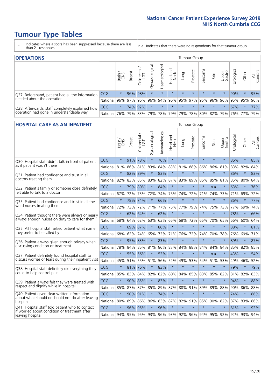# **Tumour Type Tables**

- \* Indicates where a score has been suppressed because there are less than 21 responses.
- n.a. Indicates that there were no respondents for that tumour group.

| <b>OPERATIONS</b>                                |            |              |               |                   |                   |                |                  |             | Tumour Group |         |                             |                 |           |                                                  |                |
|--------------------------------------------------|------------|--------------|---------------|-------------------|-------------------|----------------|------------------|-------------|--------------|---------|-----------------------------|-----------------|-----------|--------------------------------------------------|----------------|
|                                                  |            | Brain<br>CNS | <b>Breast</b> | Colorectal<br>LGT | ক<br>Gynaecologic | Haematological | Head and<br>Neck | <b>Gunn</b> | Prostate     | Sarcoma | Skin                        | Upper<br>Gastro | rological | Other                                            | All<br>Cancers |
| Q27. Beforehand, patient had all the information | <b>CCG</b> | $\star$      |               | 96% 98%           | $\star$           | $\star$        | $\star$          | $\star$     | $\star$      | $\star$ | $\star$                     | $\star$         | 90%       | $\ast$                                           | 95%            |
| needed about the operation                       | National   | 96%          | 97%           | 96%               |                   |                |                  |             |              |         |                             |                 |           | 96%  94%  96%  95%  97%  95%  96%  96%  95%  95% | 96%            |
| Q28. Afterwards, staff completely explained how  | <b>CCG</b> | $\star$      |               | 74% 92%           | $\star$           |                | $\star$          | $\star$     | $\star$      | $\star$ | $\star$                     | $\star$         | 67%       | $\star$                                          | 77%            |
| operation had gone in understandable way         | National   | 76%          |               | 79% 83%           |                   |                | 79%   78%   79%  |             |              |         | 79%   78%   80%   82%   79% |                 |           | 76%   77%                                        | 79%            |

#### **HOSPITAL CARE AS AN INPATIENT** Tumour Group

|                                                                                                  |              | Brain   | Breast  | Colorectal /<br>LGT | Gynaecological | Haematological | Head and<br>Neck | Lung        | Prostate | Sarcoma | Skin            | Upper<br>Gastro | Urological | Other   | Cancers<br>$\overline{\overline{A}}$ |
|--------------------------------------------------------------------------------------------------|--------------|---------|---------|---------------------|----------------|----------------|------------------|-------------|----------|---------|-----------------|-----------------|------------|---------|--------------------------------------|
| Q30. Hospital staff didn't talk in front of patient                                              | CCG          | $\star$ | 91%     | 78%                 | $\star$        | 76%            | $\star$          | $\star$     | $\star$  | $\star$ | $\star$         | $\star$         | 86%        | $\star$ | 85%                                  |
| as if patient wasn't there                                                                       | National     | 81%     | 86%     | 81%                 | 83%            | 84%            | 83%              | 81%         | 88%      | 86%     | 86%             | 81%             | 83%        | 82%     | 84%                                  |
| 031. Patient had confidence and trust in all                                                     | CCG          | $\star$ | 82%     | 89%                 | $\star$        | 83%            | $\star$          | $\star$     | $\star$  | $\star$ | $\star$         |                 | 86%        | $\star$ | 83%                                  |
| doctors treating them                                                                            | National     | 82%     | 83%     | 85%                 | 83%            | 82%            |                  | 87% 83%     | 89%      | 86%     | 85%             | 81%             | 85%        | 80%     | 84%                                  |
| Q32. Patient's family or someone close definitely                                                | CCG          | $\star$ | 79%     | 80%                 | $\star$        | 84%            | $\star$          | $\star$     | $\star$  | $\star$ | n.a.            |                 | 63%        | $\star$ | 76%                                  |
| felt able to talk to a doctor                                                                    | National     | 67%     | 72%     | 73%                 | 72%            | 74%            | 75%              | 74%         | 72%      | 71%     | 74%             | 73%             | 71%        | 69%     | 72%                                  |
| Q33. Patient had confidence and trust in all the                                                 | CCG          | $\star$ |         | 78% 74%             | $\star$        | 66%            | $\star$          | $\star$     | $\star$  | $\star$ | $\star$         | $\star$         | 86%        | $\star$ | 77%                                  |
| ward nurses treating them                                                                        | National     | 72%     | 73%     | 72%                 | 71%            | 77%            |                  | 75% 77%     | 79%      | 74%     | 75%             | 73%             | 77%        | 69%     | 74%                                  |
| Q34. Patient thought there were always or nearly                                                 | CCG          | $\star$ | 62%     | 64%                 | $\star$        | 62%            | $\star$          | $\star$     | $\star$  | $\star$ | $\star$         | $\star$         | 78%        | $\star$ | 66%                                  |
| always enough nurses on duty to care for them                                                    | National     | 68%     | 64%     | 62%                 | 63%            | 63%            | 65%              | 68%         | 72%      | 65%     | 70%             | 65%             | 66%        | 60%     | 64%                                  |
| Q35. All hospital staff asked patient what name                                                  | CCG          | $\star$ | 69% 87% |                     | $\star$        | 86%            | $\star$          | $\star$     | $\star$  | $\star$ | $\star$         | $\star$         | 88%        | $\star$ | 81%                                  |
| they prefer to be called by                                                                      | National     | 68%     | 62%     | 74%                 | 65%            | 72%            |                  | 71% 76%     | 72%      | 74%     | 70%             | 78%             | 76%        | 69%     | 71%                                  |
| Q36. Patient always given enough privacy when                                                    | CCG          | $\star$ | 95% 83% |                     | $\star$        | 83%            | $\star$          | $\star$     | $\star$  | $\star$ | $\star$         | $\star$         | 89%        | $\star$ | 87%                                  |
| discussing condition or treatment                                                                | National     | 78%     | 84%     | 85%                 | 81%            |                |                  | 86% 87% 84% | 88%      | 84%     | 84%             | 84%             | 85%        | 82%     | 85%                                  |
| Q37. Patient definitely found hospital staff to                                                  | <b>CCG</b>   | $\star$ | 55%     | 56%                 | $\star$        | 52%            | $\star$          | $\star$     | $\star$  | $\star$ | n.a.            |                 | 43%        | $\star$ | 54%                                  |
| discuss worries or fears during their inpatient visit                                            | National     | 45%     | 51%     | 55%                 | 51%            | 56%            |                  | 52% 49%     | 53%      | 54%     | 51%             | 53%             | 49%        | 46%     | 52%                                  |
| Q38. Hospital staff definitely did everything they                                               | CCG          | $\star$ | 81% 76% |                     | $\star$        | 83%            | $\star$          | $\star$     | $\star$  | $\star$ | $\star$         | $\star$         | 79%        | $\star$ | 79%                                  |
| could to help control pain                                                                       | National     | 85%     | 83%     | 84%                 | 82%            | 82%            | 80%              | 84%         | 85%      | 83%     | 85%             | 82%             | 81%        | 82%     | 83%                                  |
| Q39. Patient always felt they were treated with                                                  | CCG          | $\star$ | 90% 85% |                     | $\star$        | 83%            | $\star$          | $\star$     | $\star$  | $\star$ | $\star$         |                 | 94%        | $\star$ | 88%                                  |
| respect and dignity while in hospital                                                            | National     | 85%     |         | 87% 87%             | 85%            |                |                  | 89% 87% 88% | 91%      | 89%     | 89%             | 88%             |            | 90% 86% | 88%                                  |
| Q40. Patient given clear written information<br>about what should or should not do after leaving | CCG          | $\star$ | 90% 91% |                     | $\star$        | 74%            | $\star$          | $\star$     | $\star$  | $\star$ | $\star$         | $\star$         | 74%        | $\star$ | 86%                                  |
| hospital                                                                                         | National     | 80%     | 89%     | 86%                 | 86%            | 83%            |                  | 87% 82%     | 91%      | 85%     | 90%             | 82%             | 87%        | 83%     | 86%                                  |
| Q41. Hospital staff told patient who to contact<br>if worried about condition or treatment after | CCG          | $\star$ | 96%     | 95%                 | $\star$        | 96%            | $\star$          | $\star$     | $\star$  | $\star$ | $\star$         | $\star$         | 81%        | $\star$ | 92%                                  |
| leaving hospital                                                                                 | National 94% |         |         | 95% 95% 93%         |                |                |                  | 96% 93% 92% |          |         | 96% 94% 95% 92% |                 |            | 92% 93% | 94%                                  |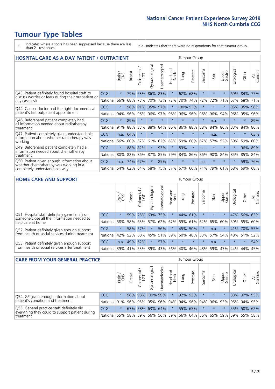# **Tumour Type Tables**

- \* Indicates where a score has been suppressed because there are less than 21 responses.
- n.a. Indicates that there were no respondents for that tumour group.

| <b>HOSPITAL CARE AS A DAY PATIENT / OUTPATIENT</b>                     |            |         |               |                       |                |                |                                |          | <b>Tumour Group</b> |         |         |                 |            |         |                |
|------------------------------------------------------------------------|------------|---------|---------------|-----------------------|----------------|----------------|--------------------------------|----------|---------------------|---------|---------|-----------------|------------|---------|----------------|
|                                                                        |            | Brain   | <b>Breast</b> | olorectal<br>LGT<br>Ũ | Gynaecological | Haematological | <b>Bad and</b><br>Neck<br>Head | Lung     | Prostate            | Sarcoma | Skin    | Upper<br>Gastro | Urological | Other   | All<br>Cancers |
| Q43. Patient definitely found hospital staff to                        | <b>CCG</b> | $\star$ | 79%           | 73%                   | 86%            | 83%            | $\star$                        | 62%      | 68%                 | $\star$ | $\star$ | $\star$         | 69%        | 84%     | 77%            |
| discuss worries or fears during their outpatient or<br>day case visit  | National   | 66%     | 68%           | 73%                   | 70%            | 73%            | 72%                            | 70%      | 74%                 | 72%     | 72%     | 71%             | 67%        | 68%     | 71%            |
| Q44. Cancer doctor had the right documents at                          | <b>CCG</b> | $\star$ | 96%           | 91%                   | 95%            | 97%            | $\star$                        | 100% 93% |                     | $\star$ |         |                 | 95%        | 95%     | 96%            |
| patient's last outpatient appointment                                  | National   | 94%     | 96%           | 96%                   | 96%            | 97%            | 96%                            | $96\%$   | 96%                 | 96%     | 96%     | 94%             | 96%        | 95%     | 96%            |
| Q46. Beforehand patient completely had                                 | CCG        | $\star$ | 89%           | $\star$               |                |                | $\star$                        | $\star$  | $\star$             | $\star$ | n.a.    | $\star$         | $\star$    | $\ast$  | 89%            |
| all information needed about radiotherapy<br>treatment                 | National   | 91%     | 88%           | 83%                   | 88%            | 84%            | 86%                            | 86%      | 88%                 | 88%     | 84%     | 86%             | 83%        | 84%     | 86%            |
| Q47. Patient completely given understandable                           | CCG        | n.a.    | 64%           | $\star$               | $\star$        |                | $\star$                        | $\star$  | $\star$             | $\star$ | n.a.    | $\star$         | $\star$    | $\star$ | 63%            |
| information about whether radiotherapy was<br>working                  | National   | 56%     | 60%           | 57%                   | 61%            | 62%            | 63%                            | 59%      | 60%                 | 67%     | 57%     | 52%             | 59%        | 59%     | 60%            |
| Q49. Beforehand patient completely had all                             | CCG        | $\star$ | 88%           | 82%                   | $\star$        | 93%            | $\star$                        | 83%      | $\star$             | n.a.    |         |                 | $\star$    | 96%     | 89%            |
| information needed about chemotherapy<br>treatment                     | National   | 80%     | 82%           | 86%                   | 87%            | 85%            | 79%                            | 84%      | 86%                 | 86%     | 90%     | 84%             | 85%        | 85%     | 84%            |
| Q50. Patient given enough information about<br><b>CCG</b>              |            | n.a.    | 74%           | 67%                   | $\star$        | 85%            | $\star$                        | $\star$  | $\star$             | n.a.    | $\star$ | $\star$         | $^\star$   | 59%     | 76%            |
| whether chemotherapy was working in a<br>completely understandable way | National   | 54%     | 62%           | 64%                   | 68%            | 75%            |                                | 57% 67%  | 66%                 | 71%     | 79%     | 61%             | 68%        | 69%     | 68%            |

#### **HOME CARE AND SUPPORT** Tumour Group

|                                                                                              |            | Brain   | <b>Breast</b> | Colorectal<br>LGT | $\overline{\sigma}$<br>Gynaecologic | Haematological | Head and<br>Neck | <b>Lung</b>             | Prostate | Sarcoma | Skin        | Upper<br>Gastro | Urological | Other   | All<br>Cancers |
|----------------------------------------------------------------------------------------------|------------|---------|---------------|-------------------|-------------------------------------|----------------|------------------|-------------------------|----------|---------|-------------|-----------------|------------|---------|----------------|
| Q51. Hospital staff definitely gave family or<br>someone close all the information needed to | <b>CCG</b> | $\star$ | 59%           | 75%               | 63%                                 | 75%            | $\star$          | 44% 61%                 |          |         | $\star$     | $\star$         | 47%        | 56%     | 63%            |
| help care at home                                                                            | National   | 58%     |               | 58% 63%           | 57%                                 |                |                  | 62% 67% 59% 61% 62% 65% |          |         |             | 60%             | 59%        | 55%     | 60%            |
| Q52. Patient definitely given enough support                                                 | <b>CCG</b> | $\star$ |               | 58% 57%           | $\star$                             | 56%            | $\star$          | 45% 50%                 |          |         | n.a.        | $\star$         |            | 41% 70% | 55%            |
| from health or social services during treatment                                              | National   | 42%     | 52%           | 60%               |                                     |                |                  | 45% 51% 59% 50%         |          |         | 48% 53% 57% | 54% 48% 51%     |            |         | 52%            |
| Q53. Patient definitely given enough support                                                 | <b>CCG</b> | n.a.    | 49%           | 62%               | $\star$                             | 57%            | $\star$          | $\star$                 | $\star$  | $\star$ | n.a.        | $\star$         | $\star$    | $\star$ | 54%            |
| from health or social services after treatment                                               | National l | 39%     | 41% 53%       |                   | 39%                                 | $ 43\% $       | 56%              | $ 40\% $                | 46%      |         | 48% 59%     | 47%             | 44%        | 44%     | 45%            |

| <b>CARE FROM YOUR GENERAL PRACTICE</b>                                                        |            |         |               |                   |                             |                |                                 |      | Tumour Group |         |                         |                 |            |             |                |
|-----------------------------------------------------------------------------------------------|------------|---------|---------------|-------------------|-----------------------------|----------------|---------------------------------|------|--------------|---------|-------------------------|-----------------|------------|-------------|----------------|
|                                                                                               |            | Brain   | <b>Breast</b> | Colorectal<br>LGT | Gynaecological              | Haematological | Head and<br>Neck                | Lung | Prostate     | Sarcoma | Skin                    | Upper<br>Gastro | Urological | Other       | All<br>Cancers |
| Q54. GP given enough information about                                                        | <b>CCG</b> | $\star$ |               |                   | 98% 98% 100% 99%            |                | $\star$                         |      | 92% 92%      |         | $\star$                 | $\star$         |            | 83% 97% 95% |                |
| patient's condition and treatment                                                             | National   | 91%     |               |                   | 96% 95% 95% 96% 94% 94% 96% |                |                                 |      |              |         | 94% 96% 93% 95% 94% 95% |                 |            |             |                |
| Q55. General practice staff definitely did<br>everything they could to support patient during | <b>CCG</b> | $\star$ |               |                   | 67% 58% 63% 64%             |                | $\star$                         |      | 55% 65%      |         | $\star$                 |                 |            | 55% 58% 62% |                |
| treatment                                                                                     | National   | 55%     |               | 58% 59%           |                             |                | 56% 56% 59% 56% 64% 56% 65% 59% |      |              |         |                         |                 |            | 59% 55% 58% |                |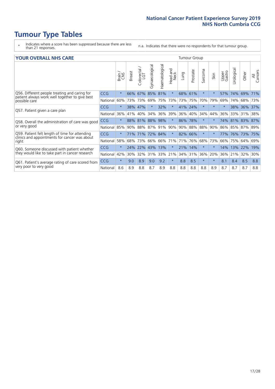# **Tumour Type Tables**

- \* Indicates where a score has been suppressed because there are less than 21 responses.
- n.a. Indicates that there were no respondents for that tumour group.

#### **YOUR OVERALL NHS CARE** THE TWO CONTROLLER THE THE THROUP CHANGE THE TUMOUR GROUP

|            | Brain<br>CNS | <b>Breast</b> | olorectal<br>LGT<br>Ū | Gynaecological            | Haematological     | ead and<br>Neck<br>Head | Lung | Prostate | arcoma<br>$\sqrt{ }$                                                    | Skin     | Upper<br>Gastro | $\overline{c}$<br>Urologia | Other                 | All<br>Cancers                                 |
|------------|--------------|---------------|-----------------------|---------------------------|--------------------|-------------------------|------|----------|-------------------------------------------------------------------------|----------|-----------------|----------------------------|-----------------------|------------------------------------------------|
| <b>CCG</b> | $\star$      | 66%           | 67%                   | 85%                       | 81%                | $\star$                 |      |          | $\star$                                                                 | $\star$  | 57%             | 74%                        | 69%                   | 71%                                            |
| National   | 60%          |               |                       | 69%                       | 75%                | 73%                     |      |          | 70%                                                                     | 79%      | 69%             | 74%                        |                       | 73%                                            |
| <b>CCG</b> | $\star$      |               |                       |                           | 32%                | $\star$                 |      |          | $\star$                                                                 | $\ast$   | $\star$         | 38%                        |                       |                                                |
| National   | 36%          | 41%           | 40%                   | 34%                       | 36%                | 39%                     | 36%  |          | 34%                                                                     | 44%      | 36%             | 33%                        | 31%                   | 38%                                            |
| <b>CCG</b> | $\star$      | 88%           |                       |                           | 98%                | $\star$                 | 86%  |          | $\star$                                                                 | $^\star$ |                 |                            |                       | 87%                                            |
| National   | 85%          |               |                       | 87%                       |                    | 90%                     | 90%  |          | 88%                                                                     | 90%      | 86%             |                            |                       |                                                |
| <b>CCG</b> | $\star$      |               |                       |                           |                    | $\star$                 |      |          | $\star$                                                                 | $\star$  | 77%             |                            |                       | 75%                                            |
| National   | 58%          | 68%           | 73%                   | 66%                       | 66%                | 71%                     | 71%  | 76%      | 68%                                                                     | 73%      | 66%             | 75%                        | 64%                   | 69%                                            |
| CCG        | $\star$      | 24%           | 22%                   | 43%                       | 13%                | $\ast$                  | 21%  | 14%      | $\star$                                                                 | $\star$  | 14%             | 13%                        |                       | 19%                                            |
| National   | 42%          | 30%           | 32%                   | 31%                       | 33%                | 21%                     | 34%  |          | 36%                                                                     | 20%      | 36%             | 21%                        | 32%                   | 30%                                            |
| <b>CCG</b> | $\star$      | 9.0           | 8.9                   | 9.0                       | 9.2                | $\star$                 | 8.8  | 8.5      | $\star$                                                                 | $\star$  | 8.1             | 8.4                        | 8.5                   | 8.8                                            |
| National   | 8.6          | 8.9           | 8.8                   | 8.7                       | 8.9                | 8.8                     | 8.8  | 8.8      | 8.8                                                                     | 8.9      | 8.7             | 8.7                        | 8.7                   | 8.8                                            |
|            |              |               |                       | 38% 47%<br>81%<br>71% 71% | 73% 73%<br>90% 88% | 88%<br>91%<br>72% 84%   |      |          | 68%<br>61%<br>73% 75%<br>41% 24%<br>40%<br>78%<br>88%<br>82% 66%<br>31% |          |                 |                            | 74% 81%<br>85%<br>76% | 68%<br>36% 37%<br>83%<br>87% 89%<br>73%<br>22% |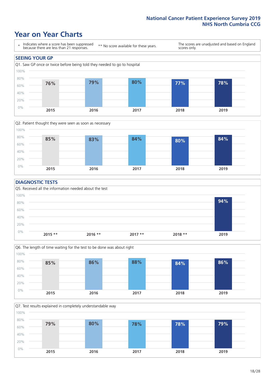### **Year on Year Charts**





#### **DIAGNOSTIC TESTS**





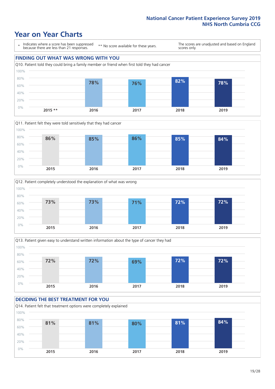







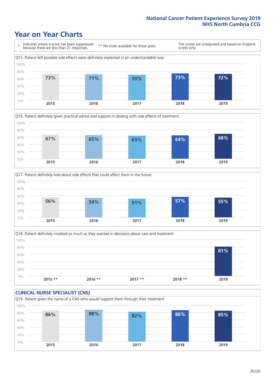





Q18. Patient definitely involved as much as they wanted in decisions about care and treatment  $0%$ 20% 40% 60% 80% 100% **2015 \*\* 2016 \*\* 2017 \*\* 2018 \*\* 2019 81%**

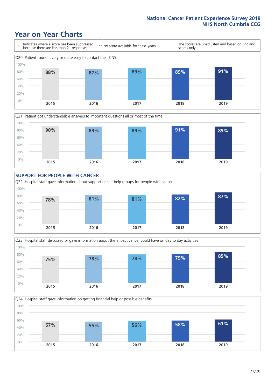







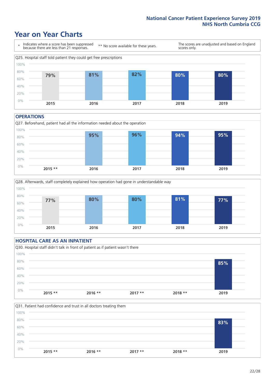### **Year on Year Charts**



#### **OPERATIONS**





#### **HOSPITAL CARE AS AN INPATIENT** Q30. Hospital staff didn't talk in front of patient as if patient wasn't there 0% 20% 40% 60% 80% 100% **2015 \*\* 2016 \*\* 2017 \*\* 2018 \*\* 2019 85%**

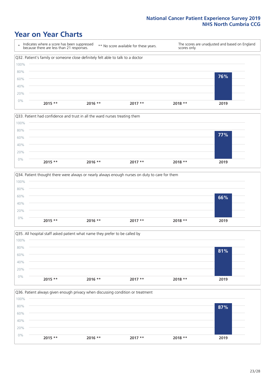







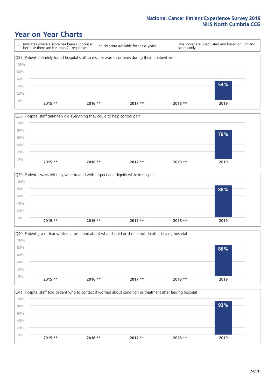





|       |           | Q40. Patient given clear written information about what should or should not do after leaving hospital |          |          |      |
|-------|-----------|--------------------------------------------------------------------------------------------------------|----------|----------|------|
| 100%  |           |                                                                                                        |          |          |      |
| 80%   |           |                                                                                                        |          |          | 86%  |
| 60%   |           |                                                                                                        |          |          |      |
| 40%   |           |                                                                                                        |          |          |      |
| 20%   |           |                                                                                                        |          |          |      |
| $0\%$ | $2015$ ** | $2016$ **                                                                                              | $2017**$ | $2018**$ | 2019 |
|       |           |                                                                                                        |          |          |      |

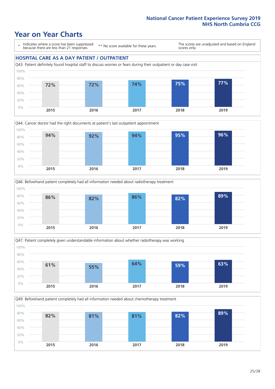### **Year on Year Charts**

\* Indicates where a score has been suppressed because there are less than 21 responses.

\*\* No score available for these years.

The scores are unadjusted and based on England scores only.

#### **HOSPITAL CARE AS A DAY PATIENT / OUTPATIENT**









Q49. Beforehand patient completely had all information needed about chemotherapy treatment 60% 80% 100% **82% 81% 81% 82% 89%**

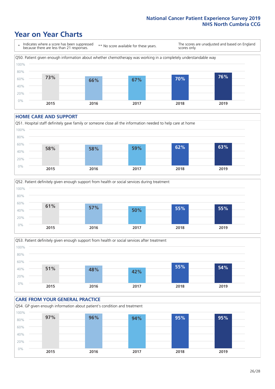### **Year on Year Charts**

\* Indicates where a score has been suppressed because there are less than 21 responses. \*\* No score available for these years. The scores are unadjusted and based on England scores only. Q50. Patient given enough information about whether chemotherapy was working in a completely understandable way 0% 20% 40% 60% 80% 100% **2015 2016 2017 2018 2019 73% 66% 67% 70% 76%**

#### **HOME CARE AND SUPPORT**







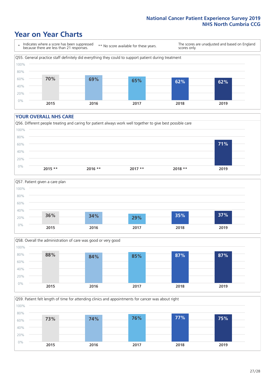### **Year on Year Charts**

\* Indicates where a score has been suppressed because there are less than 21 responses. \*\* No score available for these years. The scores are unadjusted and based on England scores only. Q55. General practice staff definitely did everything they could to support patient during treatment 0% 20% 40% 60% 80% 100% **2015 2016 2017 2018 2019 70% 69% 65% 62% 62%**

#### **YOUR OVERALL NHS CARE**







Q59. Patient felt length of time for attending clinics and appointments for cancer was about right 80% 100% **73% 74% 76% 77% 75%**